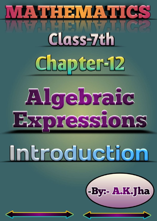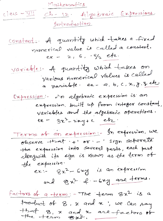Mathematics

Ch-12 Algebraic Expressions  $class - \frac{1}{11}$ gortooduction

constant: A quantity which takes a fixed numerical value is called a constant.<br>ex - 2, 6, 5/2 etc.

variable: A quantity which takes on Various numerical values is called a variable ex-a, b, c, x, y, z etc.

Expression: vos algebraic expression is an expression built up from integer constant, variables and the algebraic operations.  $ex - 3x^2 - 2xy + c$  etc.

Terms of an expression: In expression, we observe that +' or -' sign separate the expression into several parts, each part alongwith its sign is known as the term of the expression.  $ex:= 8x^2 - 6xy$  is an expression and  $8x^{2}$  f - 62g are terms.

Factors of a term: - The term 8x2 is a tooduct of 8, x and x; we can say that 8, x and x are factors of